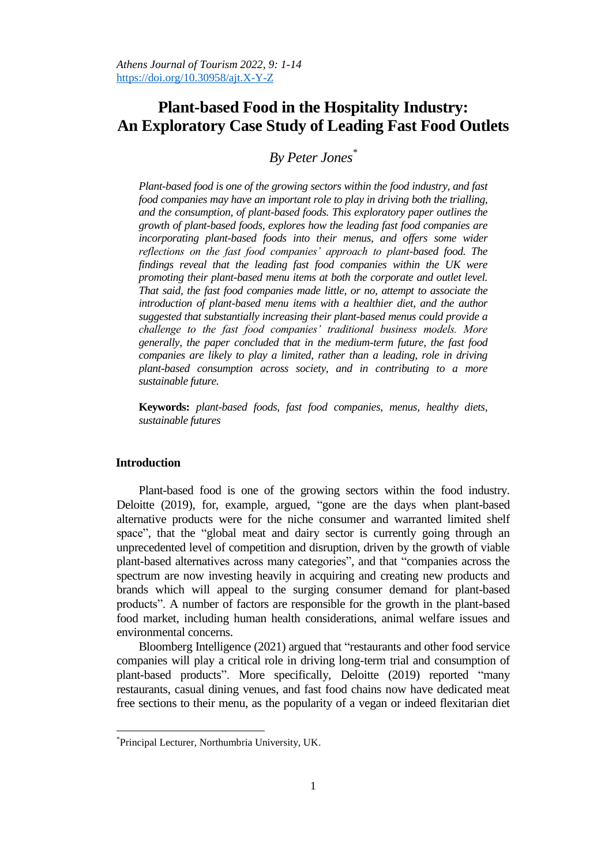# **Plant-based Food in the Hospitality Industry: An Exploratory Case Study of Leading Fast Food Outlets**

# *By Peter Jones\**

*Plant-based food is one of the growing sectors within the food industry, and fast food companies may have an important role to play in driving both the trialling, and the consumption, of plant-based foods. This exploratory paper outlines the growth of plant-based foods, explores how the leading fast food companies are incorporating plant-based foods into their menus, and offers some wider reflections on the fast food companies' approach to plant-based food. The findings reveal that the leading fast food companies within the UK were promoting their plant-based menu items at both the corporate and outlet level. That said, the fast food companies made little, or no, attempt to associate the introduction of plant-based menu items with a healthier diet, and the author suggested that substantially increasing their plant-based menus could provide a challenge to the fast food companies' traditional business models. More generally, the paper concluded that in the medium-term future, the fast food companies are likely to play a limited, rather than a leading, role in driving plant-based consumption across society, and in contributing to a more sustainable future.* 

**Keywords:** *plant-based foods, fast food companies, menus, healthy diets, sustainable futures*

# **Introduction**

 $\overline{a}$ 

Plant-based food is one of the growing sectors within the food industry. Deloitte (2019), for, example, argued, "gone are the days when plant-based alternative products were for the niche consumer and warranted limited shelf space", that the "global meat and dairy sector is currently going through an unprecedented level of competition and disruption, driven by the growth of viable plant-based alternatives across many categories", and that "companies across the spectrum are now investing heavily in acquiring and creating new products and brands which will appeal to the surging consumer demand for plant-based products". A number of factors are responsible for the growth in the plant-based food market, including human health considerations, animal welfare issues and environmental concerns.

Bloomberg Intelligence (2021) argued that "restaurants and other food service companies will play a critical role in driving long-term trial and consumption of plant-based products". More specifically, Deloitte (2019) reported "many restaurants, casual dining venues, and fast food chains now have dedicated meat free sections to their menu, as the popularity of a vegan or indeed flexitarian diet

<sup>\*</sup> Principal Lecturer, Northumbria University, UK.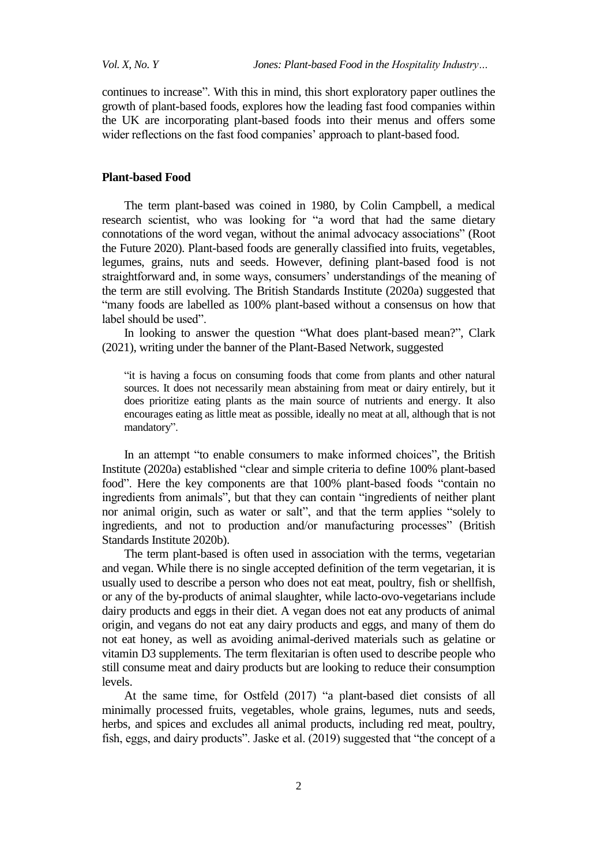continues to increase". With this in mind, this short exploratory paper outlines the growth of plant-based foods, explores how the leading fast food companies within the UK are incorporating plant-based foods into their menus and offers some wider reflections on the fast food companies' approach to plant-based food.

## **Plant-based Food**

The term plant-based was coined in 1980, by Colin Campbell, a medical research scientist, who was looking for "a word that had the same dietary connotations of the word vegan, without the animal advocacy associations" (Root the Future 2020). Plant-based foods are generally classified into fruits, vegetables, legumes, grains, nuts and seeds. However, defining plant-based food is not straightforward and, in some ways, consumers' understandings of the meaning of the term are still evolving. The British Standards Institute (2020a) suggested that "many foods are labelled as 100% plant-based without a consensus on how that label should be used".

In looking to answer the question "What does plant-based mean?", Clark (2021), writing under the banner of the Plant-Based Network, suggested

"it is having a focus on consuming foods that come from plants and other natural sources. It does not necessarily mean abstaining from meat or dairy entirely, but it does prioritize eating plants as the main source of nutrients and energy. It also encourages eating as little meat as possible, ideally no meat at all, although that is not mandatory".

In an attempt "to enable consumers to make informed choices", the British Institute (2020a) established "clear and simple criteria to define 100% plant-based food". Here the key components are that 100% plant-based foods "contain no ingredients from animals", but that they can contain "ingredients of neither plant nor animal origin, such as water or salt", and that the term applies "solely to ingredients, and not to production and/or manufacturing processes" (British Standards Institute 2020b).

The term plant-based is often used in association with the terms, vegetarian and vegan. While there is no single accepted definition of the term vegetarian, it is usually used to describe a person who does not eat meat, poultry, fish or shellfish, or any of the by-products of animal slaughter, while lacto-ovo-vegetarians include dairy products and eggs in their diet. A vegan does not eat any products of animal origin, and vegans do not eat any dairy products and eggs, and many of them do not eat honey, as well as avoiding animal-derived materials such as gelatine or vitamin D3 supplements. The term flexitarian is often used to describe people who still consume meat and dairy products but are looking to reduce their consumption levels.

At the same time, for Ostfeld (2017) "a plant-based diet consists of all minimally processed fruits, vegetables, whole grains, legumes, nuts and seeds, herbs, and spices and excludes all animal products, including red meat, poultry, fish, eggs, and dairy products". Jaske et al. (2019) suggested that "the concept of a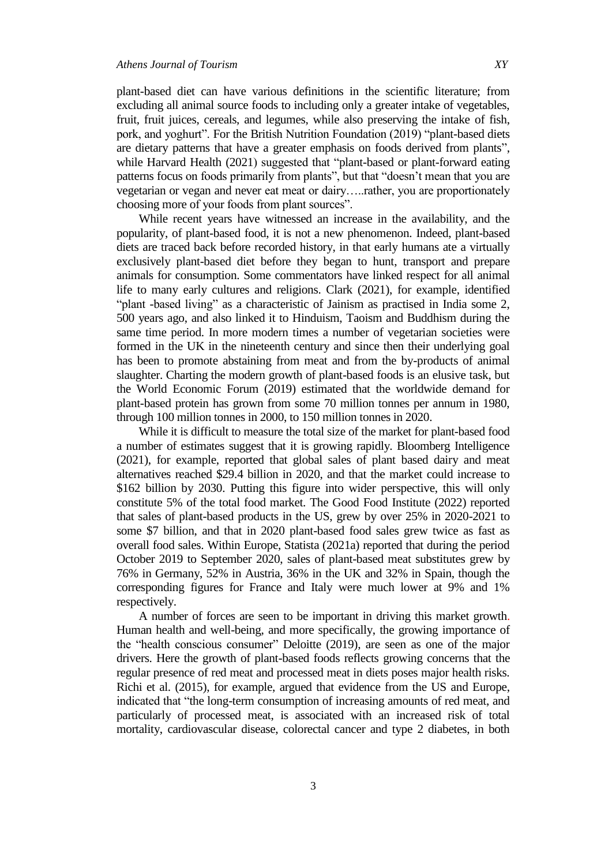plant-based diet can have various definitions in the scientific literature; from excluding all animal source foods to including only a greater intake of vegetables, fruit, fruit juices, cereals, and legumes, while also preserving the intake of fish, pork, and yoghurt". For the British Nutrition Foundation (2019) "plant-based diets are dietary patterns that have a greater emphasis on foods derived from plants", while Harvard Health (2021) suggested that "plant-based or plant-forward eating patterns focus on foods primarily from plants", but that "doesn't mean that you are vegetarian or vegan and never eat meat or dairy…..rather, you are proportionately choosing more of your foods from plant sources".

While recent years have witnessed an increase in the availability, and the popularity, of plant-based food, it is not a new phenomenon. Indeed, plant-based diets are traced back before recorded history, in that early humans ate a virtually exclusively plant-based diet before they began to hunt, transport and prepare animals for consumption. Some commentators have linked respect for all animal life to many early cultures and religions. Clark (2021), for example, identified "plant -based living" as a characteristic of Jainism as practised in India some 2, 500 years ago, and also linked it to Hinduism, Taoism and Buddhism during the same time period. In more modern times a number of vegetarian societies were formed in the UK in the nineteenth century and since then their underlying goal has been to promote abstaining from meat and from the by-products of animal slaughter. Charting the modern growth of plant-based foods is an elusive task, but the World Economic Forum (2019) estimated that the worldwide demand for plant-based protein has grown from some 70 million tonnes per annum in 1980, through 100 million tonnes in 2000, to 150 million tonnes in 2020.

While it is difficult to measure the total size of the market for plant-based food a number of estimates suggest that it is growing rapidly. Bloomberg Intelligence (2021), for example, reported that global sales of plant based dairy and meat alternatives reached \$29.4 billion in 2020, and that the market could increase to \$162 billion by 2030. Putting this figure into wider perspective, this will only constitute 5% of the total food market. The Good Food Institute (2022) reported that sales of plant-based products in the US, grew by over 25% in 2020-2021 to some \$7 billion, and that in 2020 plant-based food sales grew twice as fast as overall food sales. Within Europe, Statista (2021a) reported that during the period October 2019 to September 2020, sales of plant-based meat substitutes grew by 76% in Germany, 52% in Austria, 36% in the UK and 32% in Spain, though the corresponding figures for France and Italy were much lower at 9% and 1% respectively.

A number of forces are seen to be important in driving this market growth. Human health and well-being, and more specifically, the growing importance of the "health conscious consumer" Deloitte (2019), are seen as one of the major drivers. Here the growth of plant-based foods reflects growing concerns that the regular presence of red meat and processed meat in diets poses major health risks. Richi et al. (2015), for example, argued that evidence from the US and Europe, indicated that "the long-term consumption of increasing amounts of red meat, and particularly of processed meat, is associated with an increased risk of total mortality, cardiovascular disease, colorectal cancer and type 2 diabetes, in both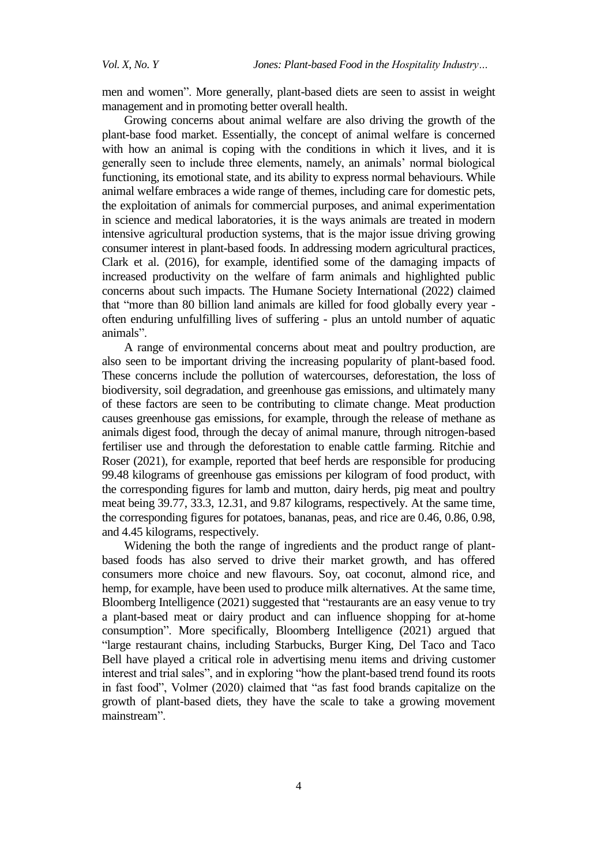men and women". More generally, plant-based diets are seen to assist in weight management and in promoting better overall health.

Growing concerns about animal welfare are also driving the growth of the plant-base food market. Essentially, the concept of animal welfare is concerned with how an animal is coping with the conditions in which it lives, and it is generally seen to include three elements, namely, an animals' normal biological functioning, its emotional state, and its ability to express normal behaviours. While animal welfare embraces a wide range of themes, including care for domestic pets, the exploitation of animals for commercial purposes, and animal experimentation in science and medical laboratories, it is the ways animals are treated in modern intensive agricultural production systems, that is the major issue driving growing consumer interest in plant-based foods. In addressing modern agricultural practices, Clark et al. (2016), for example, identified some of the damaging impacts of increased productivity on the welfare of farm animals and highlighted public concerns about such impacts. The Humane Society International (2022) claimed that "more than 80 billion land animals are killed for food globally every year often enduring unfulfilling lives of suffering - plus an untold number of aquatic animals".

A range of environmental concerns about meat and poultry production, are also seen to be important driving the increasing popularity of plant-based food. These concerns include the pollution of watercourses, deforestation, the loss of biodiversity, soil degradation, and greenhouse gas emissions, and ultimately many of these factors are seen to be contributing to climate change. Meat production causes greenhouse gas emissions, for example, through the release of methane as animals digest food, through the decay of animal manure, through nitrogen-based fertiliser use and through the deforestation to enable cattle farming. Ritchie and Roser (2021), for example, reported that beef herds are responsible for producing 99.48 kilograms of greenhouse gas emissions per kilogram of food product, with the corresponding figures for lamb and mutton, dairy herds, pig meat and poultry meat being 39.77, 33.3, 12.31, and 9.87 kilograms, respectively. At the same time, the corresponding figures for potatoes, bananas, peas, and rice are 0.46, 0.86, 0.98, and 4.45 kilograms, respectively.

Widening the both the range of ingredients and the product range of plantbased foods has also served to drive their market growth, and has offered consumers more choice and new flavours. Soy, oat coconut, almond rice, and hemp, for example, have been used to produce milk alternatives. At the same time, Bloomberg Intelligence (2021) suggested that "restaurants are an easy venue to try a plant-based meat or dairy product and can influence shopping for at-home consumption". More specifically, Bloomberg Intelligence (2021) argued that "large restaurant chains, including Starbucks, Burger King, Del Taco and Taco Bell have played a critical role in advertising menu items and driving customer interest and trial sales", and in exploring "how the plant-based trend found its roots in fast food", Volmer (2020) claimed that "as fast food brands capitalize on the growth of plant-based diets, they have the scale to take a growing movement mainstream".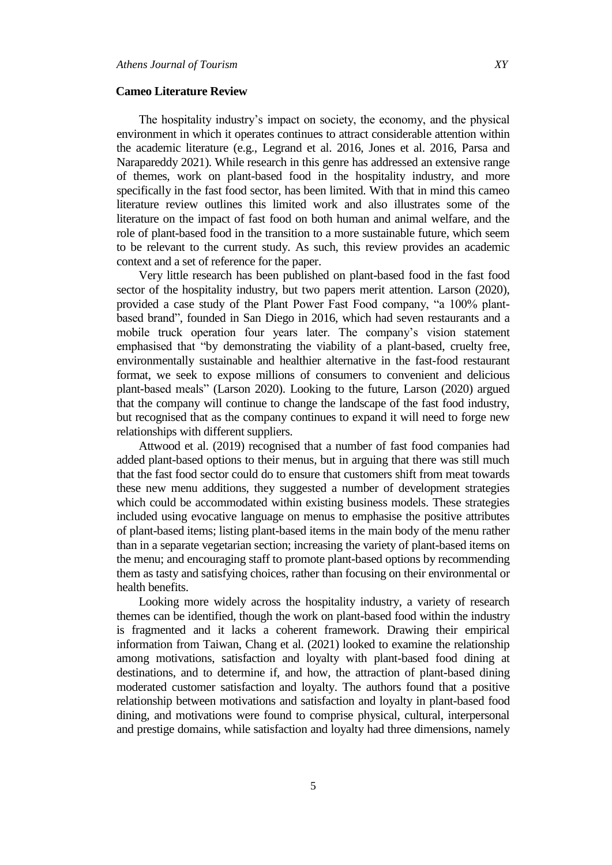#### **Cameo Literature Review**

The hospitality industry's impact on society, the economy, and the physical environment in which it operates continues to attract considerable attention within the academic literature (e.g., Legrand et al. 2016, Jones et al. 2016, Parsa and Narapareddy 2021). While research in this genre has addressed an extensive range of themes, work on plant-based food in the hospitality industry, and more specifically in the fast food sector, has been limited. With that in mind this cameo literature review outlines this limited work and also illustrates some of the literature on the impact of fast food on both human and animal welfare, and the role of plant-based food in the transition to a more sustainable future, which seem to be relevant to the current study. As such, this review provides an academic context and a set of reference for the paper.

Very little research has been published on plant-based food in the fast food sector of the hospitality industry, but two papers merit attention. Larson (2020), provided a case study of the Plant Power Fast Food company, "a 100% plantbased brand", founded in San Diego in 2016, which had seven restaurants and a mobile truck operation four years later. The company's vision statement emphasised that "by demonstrating the viability of a plant-based, cruelty free, environmentally sustainable and healthier alternative in the fast-food restaurant format, we seek to expose millions of consumers to convenient and delicious plant-based meals" (Larson 2020). Looking to the future, Larson (2020) argued that the company will continue to change the landscape of the fast food industry, but recognised that as the company continues to expand it will need to forge new relationships with different suppliers.

Attwood et al. (2019) recognised that a number of fast food companies had added plant-based options to their menus, but in arguing that there was still much that the fast food sector could do to ensure that customers shift from meat towards these new menu additions, they suggested a number of development strategies which could be accommodated within existing business models. These strategies included using evocative language on menus to emphasise the positive attributes of plant-based items; listing plant-based items in the main body of the menu rather than in a separate vegetarian section; increasing the variety of plant-based items on the menu; and encouraging staff to promote plant-based options by recommending them as tasty and satisfying choices, rather than focusing on their environmental or health benefits.

Looking more widely across the hospitality industry, a variety of research themes can be identified, though the work on plant-based food within the industry is fragmented and it lacks a coherent framework. Drawing their empirical information from Taiwan, Chang et al. (2021) looked to examine the relationship among motivations, satisfaction and loyalty with plant-based food dining at destinations, and to determine if, and how, the attraction of plant-based dining moderated customer satisfaction and loyalty. The authors found that a positive relationship between motivations and satisfaction and loyalty in plant-based food dining, and motivations were found to comprise physical, cultural, interpersonal and prestige domains, while satisfaction and loyalty had three dimensions, namely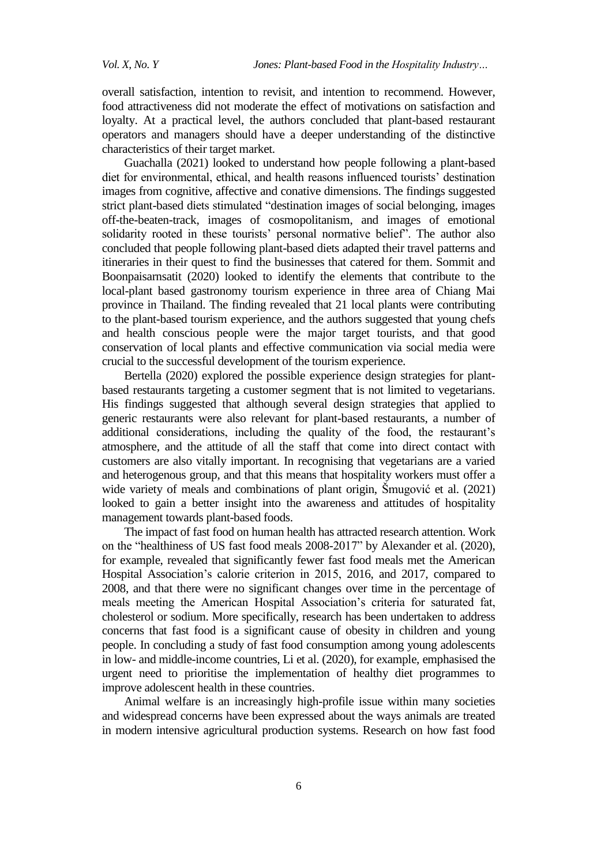overall satisfaction, intention to revisit, and intention to recommend. However, food attractiveness did not moderate the effect of motivations on satisfaction and loyalty. At a practical level, the authors concluded that plant-based restaurant operators and managers should have a deeper understanding of the distinctive characteristics of their target market.

Guachalla (2021) looked to understand how people following a plant-based diet for environmental, ethical, and health reasons influenced tourists' destination images from cognitive, affective and conative dimensions. The findings suggested strict plant-based diets stimulated "destination images of social belonging, images off-the-beaten-track, images of cosmopolitanism, and images of emotional solidarity rooted in these tourists' personal normative belief". The author also concluded that people following plant-based diets adapted their travel patterns and itineraries in their quest to find the businesses that catered for them. Sommit and Boonpaisarnsatit (2020) looked to identify the elements that contribute to the local-plant based gastronomy tourism experience in three area of Chiang Mai province in Thailand. The finding revealed that 21 local plants were contributing to the plant-based tourism experience, and the authors suggested that young chefs and health conscious people were the major target tourists, and that good conservation of local plants and effective communication via social media were crucial to the successful development of the tourism experience.

Bertella (2020) explored the possible experience design strategies for plantbased restaurants targeting a customer segment that is not limited to vegetarians. His findings suggested that although several design strategies that applied to generic restaurants were also relevant for plant-based restaurants, a number of additional considerations, including the quality of the food, the restaurant's atmosphere, and the attitude of all the staff that come into direct contact with customers are also vitally important. In recognising that vegetarians are a varied and heterogenous group, and that this means that hospitality workers must offer a wide variety of meals and combinations of plant origin, Šmugović et al. (2021) looked to gain a better insight into the awareness and attitudes of hospitality management towards plant-based foods.

The impact of fast food on human health has attracted research attention. Work on the "healthiness of US fast food meals 2008-2017" by Alexander et al. (2020), for example, revealed that significantly fewer fast food meals met the American Hospital Association's calorie criterion in 2015, 2016, and 2017, compared to 2008, and that there were no significant changes over time in the percentage of meals meeting the American Hospital Association's criteria for saturated fat, cholesterol or sodium. More specifically, research has been undertaken to address concerns that fast food is a significant cause of obesity in children and young people. In concluding a study of fast food consumption among young adolescents in low- and middle-income countries, Li et al. (2020), for example, emphasised the urgent need to prioritise the implementation of healthy diet programmes to improve adolescent health in these countries.

Animal welfare is an increasingly high-profile issue within many societies and widespread concerns have been expressed about the ways animals are treated in modern intensive agricultural production systems. Research on how fast food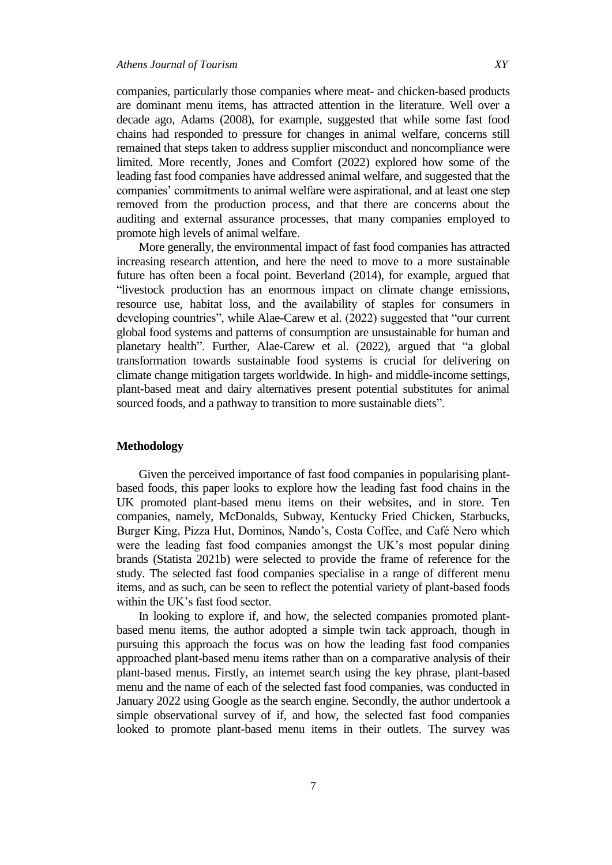promote high levels of animal welfare.

companies, particularly those companies where meat- and chicken-based products are dominant menu items, has attracted attention in the literature. Well over a decade ago, Adams (2008), for example, suggested that while some fast food chains had responded to pressure for changes in animal welfare, concerns still remained that steps taken to address supplier misconduct and noncompliance were limited. More recently, Jones and Comfort (2022) explored how some of the leading fast food companies have addressed animal welfare, and suggested that the companies' commitments to animal welfare were aspirational, and at least one step removed from the production process, and that there are concerns about the auditing and external assurance processes, that many companies employed to

More generally, the environmental impact of fast food companies has attracted increasing research attention, and here the need to move to a more sustainable future has often been a focal point. Beverland (2014), for example, argued that "livestock production has an enormous impact on climate change emissions, resource use, habitat loss, and the availability of staples for consumers in developing countries", while Alae-Carew et al. (2022) suggested that "our current global food systems and patterns of consumption are unsustainable for human and planetary health". Further, Alae-Carew et al. (2022), argued that "a global transformation towards sustainable food systems is crucial for delivering on climate change mitigation targets worldwide. In high- and middle-income settings, plant-based meat and dairy alternatives present potential substitutes for animal sourced foods, and a pathway to transition to more sustainable diets".

## **Methodology**

Given the perceived importance of fast food companies in popularising plantbased foods, this paper looks to explore how the leading fast food chains in the UK promoted plant-based menu items on their websites, and in store. Ten companies, namely, McDonalds, Subway, Kentucky Fried Chicken, Starbucks, Burger King, Pizza Hut, Dominos, Nando's, Costa Coffee, and Café Nero which were the leading fast food companies amongst the UK's most popular dining brands (Statista 2021b) were selected to provide the frame of reference for the study. The selected fast food companies specialise in a range of different menu items, and as such, can be seen to reflect the potential variety of plant-based foods within the UK's fast food sector.

In looking to explore if, and how, the selected companies promoted plantbased menu items, the author adopted a simple twin tack approach, though in pursuing this approach the focus was on how the leading fast food companies approached plant-based menu items rather than on a comparative analysis of their plant-based menus. Firstly, an internet search using the key phrase, plant-based menu and the name of each of the selected fast food companies, was conducted in January 2022 using Google as the search engine. Secondly, the author undertook a simple observational survey of if, and how, the selected fast food companies looked to promote plant-based menu items in their outlets. The survey was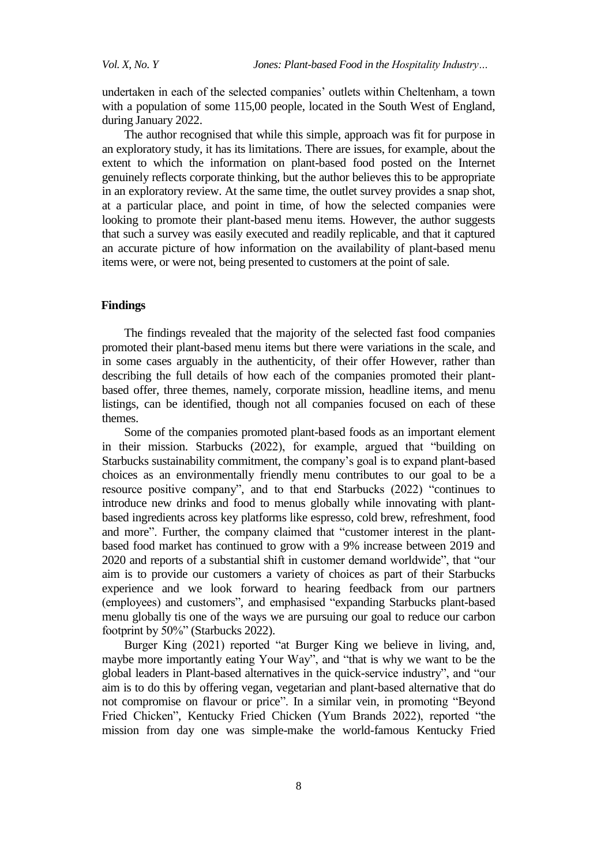undertaken in each of the selected companies' outlets within Cheltenham, a town with a population of some 115,00 people, located in the South West of England, during January 2022.

The author recognised that while this simple, approach was fit for purpose in an exploratory study, it has its limitations. There are issues, for example, about the extent to which the information on plant-based food posted on the Internet genuinely reflects corporate thinking, but the author believes this to be appropriate in an exploratory review. At the same time, the outlet survey provides a snap shot, at a particular place, and point in time, of how the selected companies were looking to promote their plant-based menu items. However, the author suggests that such a survey was easily executed and readily replicable, and that it captured an accurate picture of how information on the availability of plant-based menu items were, or were not, being presented to customers at the point of sale.

## **Findings**

The findings revealed that the majority of the selected fast food companies promoted their plant-based menu items but there were variations in the scale, and in some cases arguably in the authenticity, of their offer However, rather than describing the full details of how each of the companies promoted their plantbased offer, three themes, namely, corporate mission, headline items, and menu listings, can be identified, though not all companies focused on each of these themes.

Some of the companies promoted plant-based foods as an important element in their mission. Starbucks (2022), for example, argued that "building on Starbucks [sustainability commitment,](https://stories.starbucks.com/stories/2020/starbucks-solidifies-pathway-to-a-planet-positive-future/) the company's goal is to expand plant-based choices as an environmentally friendly menu contributes to our [goal](https://stories.starbucks.com/stories/2020/message-from-starbucks-ceo-kevin-johnson-starbucks-new-sustainability-commitment/) [t](https://stories.starbucks.com/stories/2020/message-from-starbucks-ceo-kevin-johnson-starbucks-new-sustainability-commitment/)o be a resource positive company", and to that end Starbucks (2022) "continues to introduce new drinks and food to menus globally while innovating with plantbased ingredients across key platforms like espresso, cold brew, refreshment, food and more". Further, the company claimed that "customer interest in the plantbased food market has continued to grow with a 9% increase between 2019 and 2020 and reports of a substantial shift in customer demand worldwide", that "our aim is to provide our customers a variety of choices as part of their Starbucks experience and we look forward to hearing feedback from our partners (employees) and customers", and emphasised "expanding Starbucks plant-based menu globally tis one of the ways we are pursuing our goal to reduce our carbon footprint by 50%" (Starbucks 2022).

Burger King (2021) reported "at Burger King we believe in living, and, maybe more importantly eating Your Way", and "that is why we want to be the global leaders in Plant-based alternatives in the quick-service industry", and "our aim is to do this by offering vegan, vegetarian and plant-based alternative that do not compromise on flavour or price". In a similar vein, in promoting "Beyond Fried Chicken", Kentucky Fried Chicken (Yum Brands 2022), reported "the mission from day one was simple-make the world-famous Kentucky Fried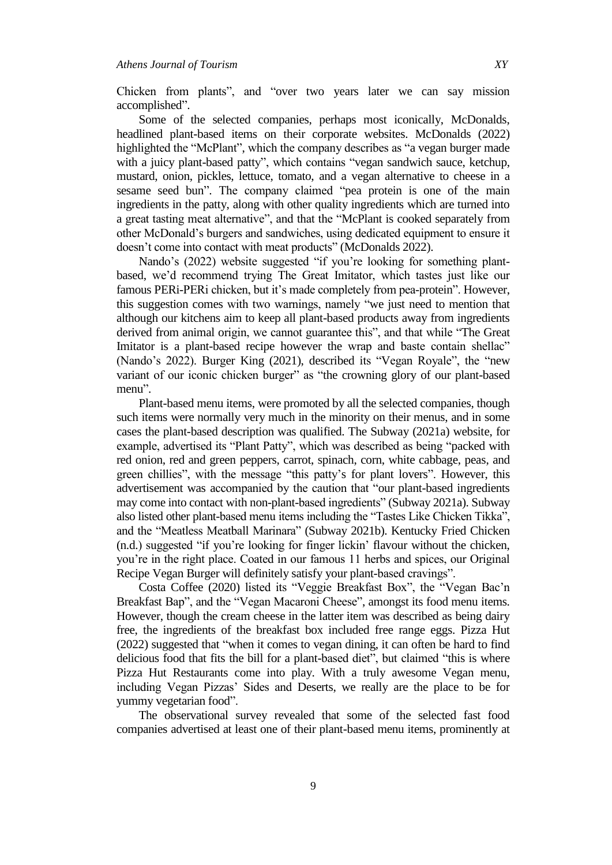Chicken from plants", and "over two years later we can say mission accomplished".

Some of the selected companies, perhaps most iconically, McDonalds, headlined plant-based items on their corporate websites. McDonalds (2022) highlighted the "McPlant", which the company describes as "a vegan burger made with a juicy plant-based patty", which contains "vegan sandwich sauce, ketchup, mustard, onion, pickles, lettuce, tomato, and a vegan alternative to cheese in a sesame seed bun". The company claimed "pea protein is one of the main ingredients in the patty, along with other quality ingredients which are turned into a great tasting meat alternative", and that the "McPlant is cooked separately from other McDonald's burgers and sandwiches, using dedicated equipment to ensure it doesn't come into contact with meat products" (McDonalds 2022).

Nando's (2022) website suggested "if you're looking for something plantbased, we'd recommend trying The Great Imitator, which tastes just like our famous PERi-PERi chicken, but it's made completely from pea-protein". However, this suggestion comes with two warnings, namely "we just need to mention that although our kitchens aim to keep all plant-based products away from ingredients derived from animal origin, we cannot guarantee this", and that while "The Great Imitator is a plant-based recipe however the wrap and baste contain shellac" (Nando's 2022). Burger King (2021), described its "Vegan Royale", the "new variant of our iconic chicken burger" as "the crowning glory of our plant-based menu".

Plant-based menu items, were promoted by all the selected companies, though such items were normally very much in the minority on their menus, and in some cases the plant-based description was qualified. The Subway (2021a) website, for example, advertised its "Plant Patty", which was described as being "packed with red onion, red and green peppers, carrot, spinach, corn, white cabbage, peas, and green chillies", with the message "this patty's for plant lovers". However, this advertisement was accompanied by the caution that "our plant-based ingredients may come into contact with non-plant-based ingredients" (Subway 2021a). Subway also listed other plant-based menu items including the "Tastes Like Chicken Tikka", and the "Meatless Meatball Marinara" (Subway 2021b). Kentucky Fried Chicken (n.d.) suggested "if you're looking for finger lickin' flavour without the chicken, you're in the right place. Coated in our famous 11 herbs and spices, our Original Recipe Vegan Burger will definitely satisfy your plant-based cravings".

Costa Coffee (2020) listed its "Veggie Breakfast Box", the "Vegan Bac'n Breakfast Bap", and the "Vegan Macaroni Cheese", amongst its food menu items. However, though the cream cheese in the latter item was described as being dairy free, the ingredients of the breakfast box included free range eggs. Pizza Hut (2022) suggested that "when it comes to vegan dining, it can often be hard to find delicious food that fits the bill for a plant-based diet", but claimed "this is where Pizza Hut Restaurants come into play. With a truly awesome Vegan menu, including Vegan Pizzas' Sides and Deserts, we really are the place to be for yummy vegetarian food".

The observational survey revealed that some of the selected fast food companies advertised at least one of their plant-based menu items, prominently at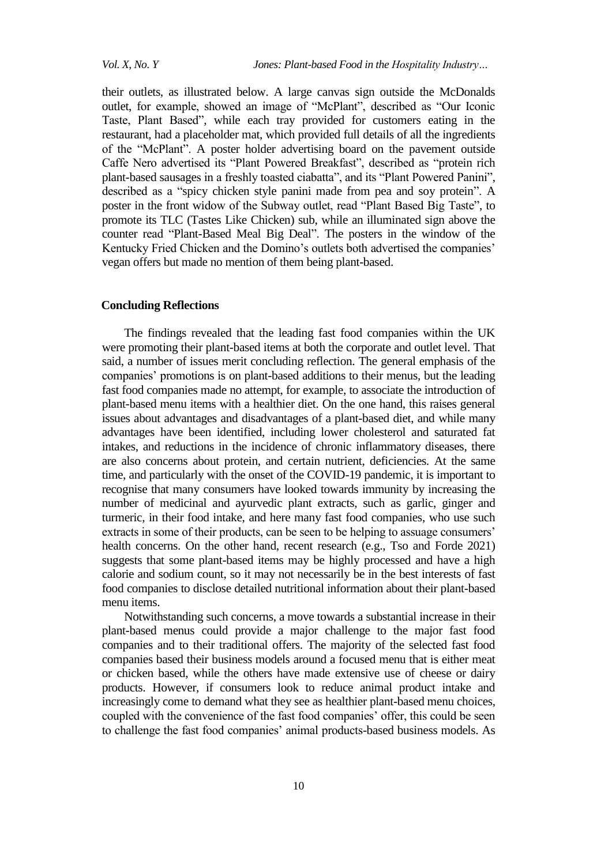their outlets, as illustrated below. A large canvas sign outside the McDonalds outlet, for example, showed an image of "McPlant", described as "Our Iconic Taste, Plant Based", while each tray provided for customers eating in the restaurant, had a placeholder mat, which provided full details of all the ingredients of the "McPlant". A poster holder advertising board on the pavement outside Caffe Nero advertised its "Plant Powered Breakfast", described as "protein rich plant-based sausages in a freshly toasted ciabatta", and its "Plant Powered Panini", described as a "spicy chicken style panini made from pea and soy protein". A poster in the front widow of the Subway outlet, read "Plant Based Big Taste", to promote its TLC (Tastes Like Chicken) sub, while an illuminated sign above the counter read "Plant-Based Meal Big Deal". The posters in the window of the Kentucky Fried Chicken and the Domino's outlets both advertised the companies' vegan offers but made no mention of them being plant-based.

## **Concluding Reflections**

The findings revealed that the leading fast food companies within the UK were promoting their plant-based items at both the corporate and outlet level. That said, a number of issues merit concluding reflection. The general emphasis of the companies' promotions is on plant-based additions to their menus, but the leading fast food companies made no attempt, for example, to associate the introduction of plant-based menu items with a healthier diet. On the one hand, this raises general issues about advantages and disadvantages of a plant-based diet, and while many advantages have been identified, including lower cholesterol and saturated fat intakes, and reductions in the incidence of chronic inflammatory diseases, there are also concerns about protein, and certain nutrient, deficiencies. At the same time, and particularly with the onset of the COVID-19 pandemic, it is important to recognise that many consumers have looked towards immunity by increasing the number of medicinal and ayurvedic plant extracts, such as garlic, ginger and turmeric, in their food intake, and here many fast food companies, who use such extracts in some of their products, can be seen to be helping to assuage consumers' health concerns. On the other hand, recent research (e.g., Tso and Forde 2021) suggests that some plant-based items may be highly processed and have a high calorie and sodium count, so it may not necessarily be in the best interests of fast food companies to disclose detailed nutritional information about their plant-based menu items.

Notwithstanding such concerns, a move towards a substantial increase in their plant-based menus could provide a major challenge to the major fast food companies and to their traditional offers. The majority of the selected fast food companies based their business models around a focused menu that is either meat or chicken based, while the others have made extensive use of cheese or dairy products. However, if consumers look to reduce animal product intake and increasingly come to demand what they see as healthier plant-based menu choices, coupled with the convenience of the fast food companies' offer, this could be seen to challenge the fast food companies' animal products-based business models. As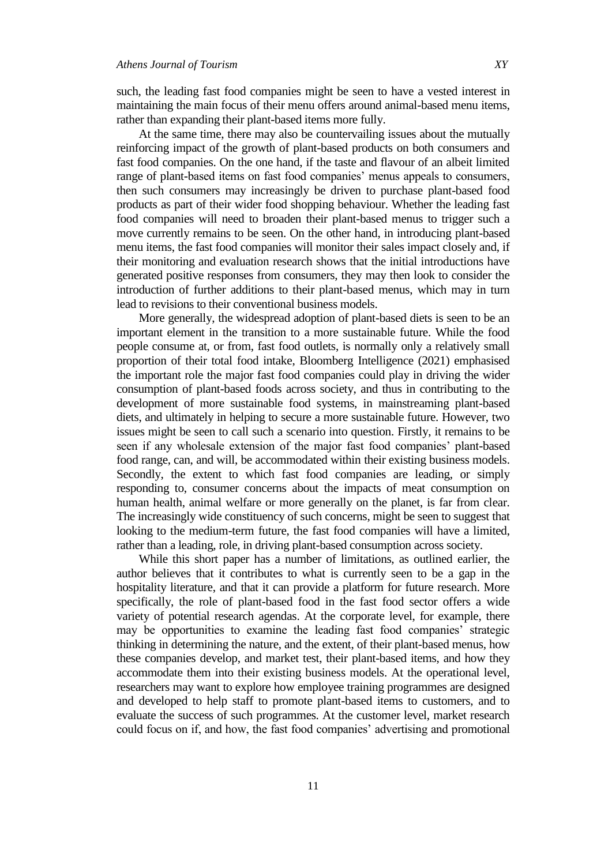such, the leading fast food companies might be seen to have a vested interest in maintaining the main focus of their menu offers around animal-based menu items, rather than expanding their plant-based items more fully.

At the same time, there may also be countervailing issues about the mutually reinforcing impact of the growth of plant-based products on both consumers and fast food companies. On the one hand, if the taste and flavour of an albeit limited range of plant-based items on fast food companies' menus appeals to consumers, then such consumers may increasingly be driven to purchase plant-based food products as part of their wider food shopping behaviour. Whether the leading fast food companies will need to broaden their plant-based menus to trigger such a move currently remains to be seen. On the other hand, in introducing plant-based menu items, the fast food companies will monitor their sales impact closely and, if their monitoring and evaluation research shows that the initial introductions have generated positive responses from consumers, they may then look to consider the introduction of further additions to their plant-based menus, which may in turn lead to revisions to their conventional business models.

More generally, the widespread adoption of plant-based diets is seen to be an important element in the transition to a more sustainable future. While the food people consume at, or from, fast food outlets, is normally only a relatively small proportion of their total food intake, Bloomberg Intelligence (2021) emphasised the important role the major fast food companies could play in driving the wider consumption of plant-based foods across society, and thus in contributing to the development of more sustainable food systems, in mainstreaming plant-based diets, and ultimately in helping to secure a more sustainable future. However, two issues might be seen to call such a scenario into question. Firstly, it remains to be seen if any wholesale extension of the major fast food companies' plant-based food range, can, and will, be accommodated within their existing business models. Secondly, the extent to which fast food companies are leading, or simply responding to, consumer concerns about the impacts of meat consumption on human health, animal welfare or more generally on the planet, is far from clear. The increasingly wide constituency of such concerns, might be seen to suggest that looking to the medium-term future, the fast food companies will have a limited, rather than a leading, role, in driving plant-based consumption across society.

While this short paper has a number of limitations, as outlined earlier, the author believes that it contributes to what is currently seen to be a gap in the hospitality literature, and that it can provide a platform for future research. More specifically, the role of plant-based food in the fast food sector offers a wide variety of potential research agendas. At the corporate level, for example, there may be opportunities to examine the leading fast food companies' strategic thinking in determining the nature, and the extent, of their plant-based menus, how these companies develop, and market test, their plant-based items, and how they accommodate them into their existing business models. At the operational level, researchers may want to explore how employee training programmes are designed and developed to help staff to promote plant-based items to customers, and to evaluate the success of such programmes. At the customer level, market research could focus on if, and how, the fast food companies' advertising and promotional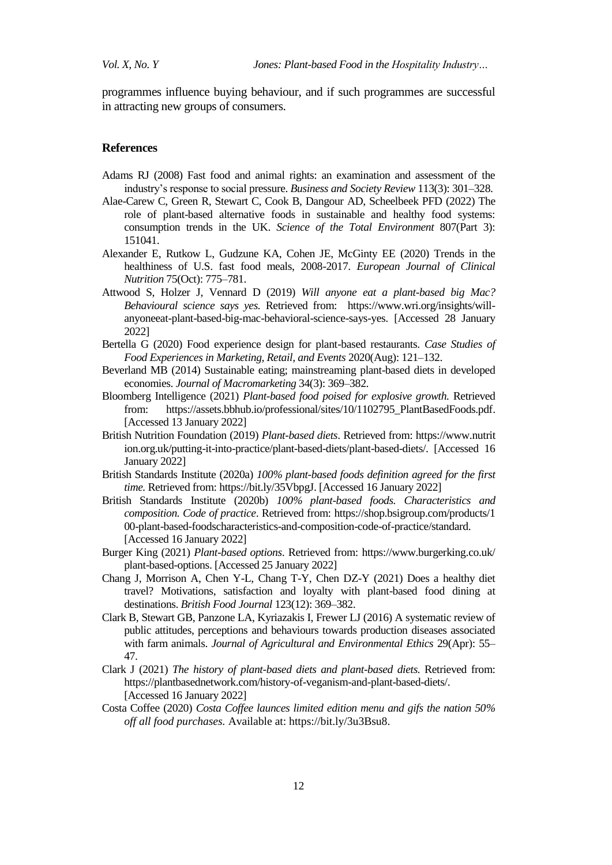programmes influence buying behaviour, and if such programmes are successful in attracting new groups of consumers.

## **References**

- Adams RJ (2008) Fast food and animal rights: an examination and assessment of the industry's response to social pressure. *Business and Society Review* 113(3): 301–328.
- Alae-Carew C, Green R, Stewart C, Cook B, Dangour AD, Scheelbeek PFD (2022) The role of plant-based alternative foods in sustainable and healthy food systems: consumption trends in the UK. *Science of the Total Environment* 807(Part 3): 151041.
- Alexander E, Rutkow L, Gudzune KA, Cohen JE, McGinty EE (2020) Trends in the healthiness of U.S. fast food meals, 2008-2017. *European Journal of Clinical Nutrition* 75(Oct): 775–781.
- Attwood S, Holzer J, Vennard D (2019) *Will anyone eat a plant-based big Mac? Behavioural science says yes.* Retrieved from: [https://www.wri.org/insights/will](https://www.wri.org/insights/will-anyone-eat-plant-based-big-mac-behavioral-science-says-yes)[anyoneeat-plant-based-big-mac-behavioral-science-says-yes.](https://www.wri.org/insights/will-anyone-eat-plant-based-big-mac-behavioral-science-says-yes) [Accessed 28 January 2022]
- Bertella G (2020) Food experience design for plant-based restaurant[s.](https://www.sciencedirect.com/science/book/9780128177921) *[Case Studies of](https://www.sciencedirect.com/science/book/9780128177921)  [Food E](https://www.sciencedirect.com/science/book/9780128177921)xperiences in Marketing, Retail, and Events* 2020(Aug): 121–132.
- Beverland MB (2014) Sustainable eating; mainstreaming plant-based diets in developed economies. *Journal of Macromarketing* 34(3): 369–382.
- Bloomberg Intelligence (2021) *Plant-based food poised for explosive growth.* Retrieved from: https://assets.bbhub.io/professional/sites/10/1102795 PlantBasedFoods.pdf. [Accessed 13 January 2022]
- British Nutrition Foundation (2019) *Plant-based diets*. Retrieved from: https://www.nutrit ion.org.uk/puttin[g-it-into-practice/plant-based-diets/plant-based-diets/.](https://www.nutrition.org.uk/putting-it-into-practice/plant-based-diets/plant-based-diets/) [\[](https://www.nutrition.org.uk/putting-it-into-practice/plant-based-diets/plant-based-diets/)Accessed 16 January 2022]
- British Standards Institute (2020a) *100% plant-based foods definition agreed for the first time.* Retrieved from: https://bit.ly/35Vbpg[J.](https://www.bsigroup.com/en-GB/about-bsi/media-centre/press-releases/2020/december/100-plant-based-foods-definition-agreed-for-the-first-time/#:~:text=11%20December%202020,practices%20in%20communication%20and%20labelling) [Accessed 16 January 2022]
- British Standards Institute (2020b) *100% plant-based foods. Characteristics and composition. Code of practice*. Retrieved from: https://shop.bsigroup.com/products/1 0[0-plant-based-foodscharacteristics-and-composition-code-of-practice/standard.](https://shop.bsigroup.com/products/100-plant-based-foods-characteristics-and-composition-code-of-practice/standard) [Accessed 16 January 2022]
- Burger King (2021) *Plant-based options*. Retrieved from: https://www.burgerking.co.uk/ plan[t-based-options.](https://www.burgerking.co.uk/plant-based-options) [Accessed 25 January 2022]
- Chang J, Morrison A, Chen Y-L, Chang T-Y, Chen DZ-Y (2021) Does a healthy diet travel? Motivations, satisfaction and loyalty with plant-based food dining at destinations. *British Food Journal* 123(12): 369–382.
- Clark B, Stewart GB, Panzone LA, Kyriazakis I, Frewer LJ (2016) A systematic review of public attitudes, perceptions and behaviours towards production diseases associated with farm animals. *Journal of Agricultural and Environmental Ethics* 29(Apr): 55– 47.
- Clark J (2021) *The history of plant-based diets and plant-based diets.* Retrieved from: [https://plantbasednetwork.com/history-of-veganism-and-plant-based-diets/.](https://plantbasednetwork.com/history-of-veganism-and-plant-based-diets/) [Accessed 16 January 2022]
- Costa Coffee (2020) *Costa Coffee launces limited edition menu and gifs the nation 50% off all food purchases.* Available at: [https://bit.ly/3u3Bsu8.](https://bit.ly/3u3Bsu8)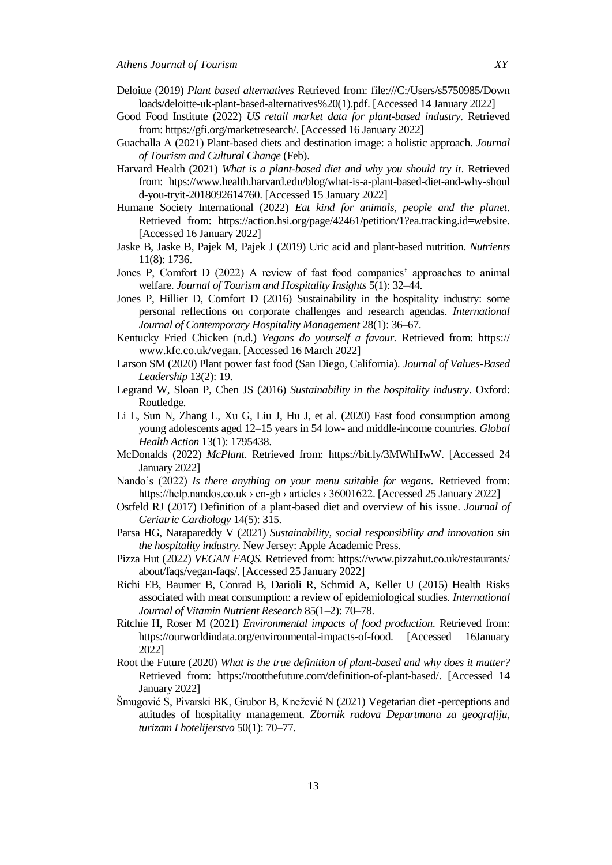- Deloitte (2019) *Plant based alternatives* Retrieved from: file:///C:/Users/s5750985/Down loads/deloitte-uk-plant-based-alternatives%20(1).pdf. [Accessed 14 January 2022]
- Good Food Institute (2022) *US retail market data for plant-based industry*. Retrieved from: [https://gfi.org/marketresearch/.](https://gfi.org/marketresearch/) [\[](https://gfi.org/marketresearch/)Accessed 16 January 2022]
- Guachalla A (2021) Plant-based diets and destination image: a holistic approach. *Journal of Tourism and Cultural Change* (Feb).
- Harvard Health (2021) *What is a plant-based diet and why you should try it*. Retrieved from: [htps://www.health.harvard.edu/blog/what-is-a-plant-based-diet-and-why-shoul](https://www.health.harvard.edu/blog/what-is-a-plant-based-diet-and-why-should-you-try-it-2018092614760) [d-you-tryit-2018092614760.](https://www.health.harvard.edu/blog/what-is-a-plant-based-diet-and-why-should-you-try-it-2018092614760) [Accessed 15 January 2022]
- Humane Society International (2022) *Eat kind for animals, people and the planet*. Retrieved from: [https://action.hsi.org/page/42461/petition/1?ea.tracking.id=website.](https://action.hsi.org/page/42461/petition/1?ea.tracking.id=website) [Accessed 16 January 2022]
- Jaske B, Jaske B, Pajek M, Pajek J (2019) Uric acid and plant-based nutrition. *Nutrients*  11(8): 1736.
- Jones P, Comfort D (2022) A review of fast food companies' approaches to animal welfare. *Journal of Tourism and Hospitality Insights* 5(1): 32–44.
- Jones P, Hillier D, Comfort D (2016) Sustainability in the hospitality industry: some personal reflections on corporate challenges and research agendas. *International Journal of Contemporary Hospitality Management* 28(1): 36–67.
- Kentucky Fried Chicken (n.d.) *Vegans do yourself a favour.* Retrieved from: https:// www.kfc.co.uk/vegan. [Accessed 16 March 2022]
- Larson SM (2020) Plant power fast food (San Diego, California). *Journal of Values-Based Leadership* 13(2): 19.
- Legrand W, Sloan P, Chen JS (2016) *Sustainability in the hospitality industry*. Oxford: Routledge.
- Li L, Sun N, Zhang L, Xu G, Liu J, Hu J, et al. (2020) Fast food consumption among young adolescents aged 12–15 years in 54 low- and middle-income countries. *Global Health Action* 13(1): 1795438.
- McDonalds (2022) *McPlant*. Retrieved from: [https://bit.ly/3MWhHwW.](https://bit.ly/3MWhHwW) [Accessed 24 January 2022]
- Nando's (2022) *Is there anything on your menu suitable for vegans.* Retrieved from: https://help.nandos.co.uk › en-gb › articles › 36001622. [Accessed 25 January 2022]
- Ostfeld RJ (2017) Definition of a plant-based diet and overview of his issue. *Journal of Geriatric Cardiology* 14(5): 315.
- Parsa HG, Narapareddy V (2021) *Sustainability, social responsibility and innovation sin the hospitality industry.* New Jersey: Apple Academic Press.
- Pizza Hut (2022) *VEGAN FAQS.* Retrieved from: https://www.pizzahut.co.uk/restaurants/ about/faqs/vega[n-faqs/.](https://www.pizzahut.co.uk/restaurants/about/faqs/vegan-faqs/) [Accessed 25 January 2022]
- Richi EB, Baumer B, Conrad B, Darioli R, Schmid A, Keller U (2015) Health Risks associated with meat consumption: a review of epidemiological studies*. International Journal of Vitamin Nutrient Research* 85(1–2): 70–78.
- Ritchie H, Roser M (2021) *Environmental impacts of food production.* Retrieved from: [https://ourworldindata.org/environmental-impacts-of-food.](https://ourworldindata.org/environmental-impacts-of-food) [Accessed 16January 2022]
- Root the Future (2020) *What is the true definition of plant-based and why does it matter?* Retrieved from: [https://rootthefuture.com/definition-of-plant-based/.](https://rootthefuture.com/definition-of-plant-based/) [Accessed 14 January 2022]
- Šmugović S, Pivarski BK, Grubor B, Knežević N (2021) Vegetarian diet -perceptions and attitudes of hospitality management. *Zbornik radova Departmana za geografiju, turizam I hotelijerstvo* 50(1): 70–77.